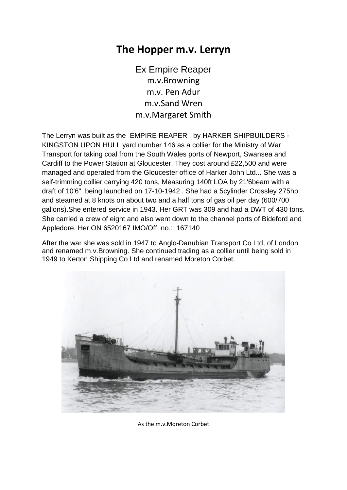## **The Hopper m.v. Lerryn**

Ex Empire Reaper m.v.Browning m.v. Pen Adur m.v.Sand Wren m.v.Margaret Smith

The Lerryn was built as the EMPIRE REAPER by HARKER SHIPBUILDERS - KINGSTON UPON HULL yard number 146 as a collier for the Ministry of War Transport for taking coal from the South Wales ports of Newport, Swansea and Cardiff to the Power Station at Gloucester. They cost around £22,500 and were managed and operated from the Gloucester office of Harker John Ltd... She was a self-trimming collier carrying 420 tons, Measuring 140ft LOA by 21'6beam with a draft of 10'6" being launched on 17-10-1942 . She had a 5cylinder Crossley 275hp and steamed at 8 knots on about two and a half tons of gas oil per day (600/700 gallons).She entered service in 1943. Her GRT was 309 and had a DWT of 430 tons. She carried a crew of eight and also went down to the channel ports of Bideford and Appledore. Her ON 6520167 IMO/Off. no.: 167140

After the war she was sold in 1947 to Anglo-Danubian Transport Co Ltd, of London and renamed m.v.Browning. She continued trading as a collier until being sold in 1949 to Kerton Shipping Co Ltd and renamed Moreton Corbet.



As the m.v.Moreton Corbet